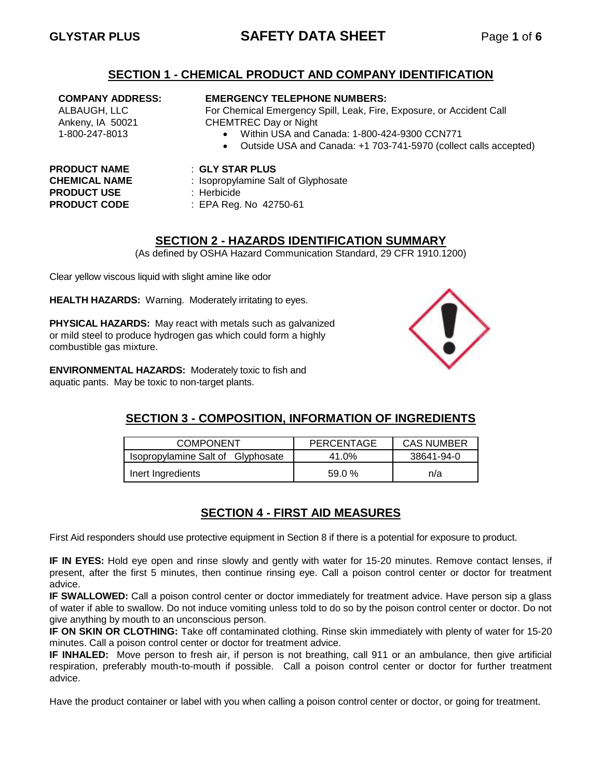# **GLYSTAR PLUS SAFETY DATA SHEET** Page **1** of **6**

### **SECTION 1 - CHEMICAL PRODUCT AND COMPANY IDENTIFICATION**

#### **COMPANY ADDRESS:**

ALBAUGH, LLC Ankeny, IA 50021 1-800-247-8013

#### **EMERGENCY TELEPHONE NUMBERS:**

For Chemical Emergency Spill, Leak, Fire, Exposure, or Accident Call CHEMTREC Day or Night

- Within USA and Canada: 1-800-424-9300 CCN771
- Outside USA and Canada: +1 703-741-5970 (collect calls accepted)

# **PRODUCT USE** : Herbicide

- **PRODUCT NAME** : **GLY STAR PLUS**
- **CHEMICAL NAME** : Isopropylamine Salt of Glyphosate
	-
- **PRODUCT CODE** : EPA Reg. No 42750-61

# **SECTION 2 - HAZARDS IDENTIFICATION SUMMARY**

(As defined by OSHA Hazard Communication Standard, 29 CFR 1910.1200)

Clear yellow viscous liquid with slight amine like odor

**HEALTH HAZARDS:** Warning. Moderately irritating to eyes.

**PHYSICAL HAZARDS:** May react with metals such as galvanized or mild steel to produce hydrogen gas which could form a highly combustible gas mixture.

**ENVIRONMENTAL HAZARDS:** Moderately toxic to fish and aquatic pants. May be toxic to non-target plants.



# **SECTION 3 - COMPOSITION, INFORMATION OF INGREDIENTS**

| <b>COMPONENT</b>                  | PERCENTAGE | <b>CAS NUMBER</b> |  |
|-----------------------------------|------------|-------------------|--|
| Isopropylamine Salt of Glyphosate | 41.0%      | 38641-94-0        |  |
| Inert Ingredients                 | 59.0%      | n/a               |  |

# **SECTION 4 - FIRST AID MEASURES**

First Aid responders should use protective equipment in Section 8 if there is a potential for exposure to product.

**IF IN EYES:** Hold eye open and rinse slowly and gently with water for 15-20 minutes. Remove contact lenses, if present, after the first 5 minutes, then continue rinsing eye. Call a poison control center or doctor for treatment advice.

**IF SWALLOWED:** Call a poison control center or doctor immediately for treatment advice. Have person sip a glass of water if able to swallow. Do not induce vomiting unless told to do so by the poison control center or doctor. Do not give anything by mouth to an unconscious person.

**IF ON SKIN OR CLOTHING:** Take off contaminated clothing. Rinse skin immediately with plenty of water for 15-20 minutes. Call a poison control center or doctor for treatment advice.

**IF INHALED:** Move person to fresh air, if person is not breathing, call 911 or an ambulance, then give artificial respiration, preferably mouth-to-mouth if possible. Call a poison control center or doctor for further treatment advice.

Have the product container or label with you when calling a poison control center or doctor, or going for treatment.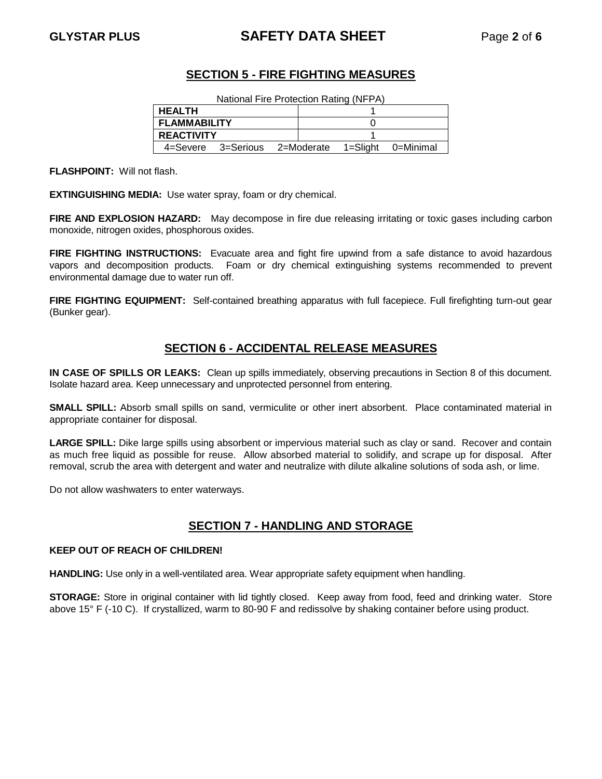# **GLYSTAR PLUS SAFETY DATA SHEET** Page **2** of **6**

# **SECTION 5 - FIRE FIGHTING MEASURES**

| <b>HEALTH</b>       |                    |  |  |                               |
|---------------------|--------------------|--|--|-------------------------------|
| <b>FLAMMABILITY</b> |                    |  |  |                               |
| <b>REACTIVITY</b>   |                    |  |  |                               |
|                     | 4=Severe 3=Serious |  |  | 2=Moderate 1=Slight 0=Minimal |

**FLASHPOINT:** Will not flash.

**EXTINGUISHING MEDIA:** Use water spray, foam or dry chemical.

**FIRE AND EXPLOSION HAZARD:** May decompose in fire due releasing irritating or toxic gases including carbon monoxide, nitrogen oxides, phosphorous oxides.

FIRE FIGHTING INSTRUCTIONS: Evacuate area and fight fire upwind from a safe distance to avoid hazardous vapors and decomposition products. Foam or dry chemical extinguishing systems recommended to prevent environmental damage due to water run off.

**FIRE FIGHTING EQUIPMENT:** Self-contained breathing apparatus with full facepiece. Full firefighting turn-out gear (Bunker gear).

# **SECTION 6 - ACCIDENTAL RELEASE MEASURES**

**IN CASE OF SPILLS OR LEAKS:** Clean up spills immediately, observing precautions in Section 8 of this document. Isolate hazard area. Keep unnecessary and unprotected personnel from entering.

**SMALL SPILL:** Absorb small spills on sand, vermiculite or other inert absorbent. Place contaminated material in appropriate container for disposal.

**LARGE SPILL:** Dike large spills using absorbent or impervious material such as clay or sand. Recover and contain as much free liquid as possible for reuse. Allow absorbed material to solidify, and scrape up for disposal. After removal, scrub the area with detergent and water and neutralize with dilute alkaline solutions of soda ash, or lime.

Do not allow washwaters to enter waterways.

# **SECTION 7 - HANDLING AND STORAGE**

#### **KEEP OUT OF REACH OF CHILDREN!**

**HANDLING:** Use only in a well-ventilated area. Wear appropriate safety equipment when handling.

**STORAGE:** Store in original container with lid tightly closed. Keep away from food, feed and drinking water. Store above 15° F (-10 C). If crystallized, warm to 80-90 F and redissolve by shaking container before using product.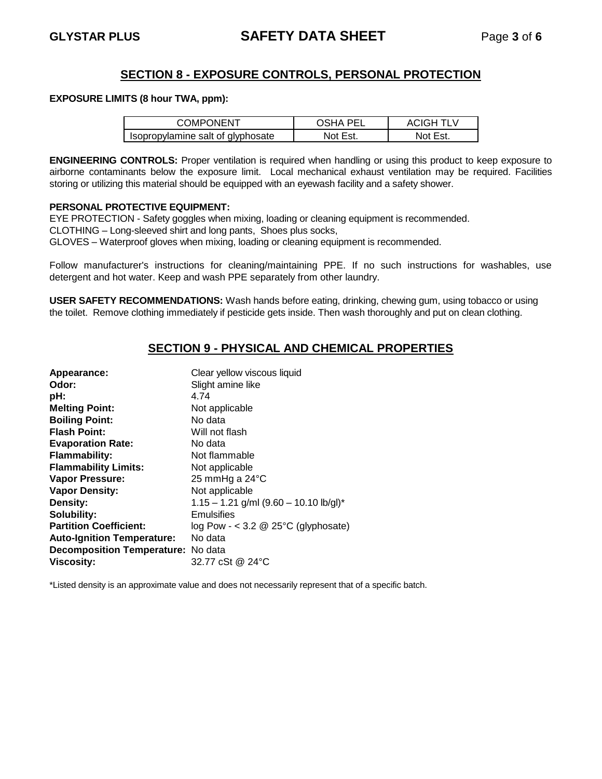## **SECTION 8 - EXPOSURE CONTROLS, PERSONAL PROTECTION**

#### **EXPOSURE LIMITS (8 hour TWA, ppm):**

| <b>COMPONENT</b>                  | ารหA PFI | ACIGH TI V |
|-----------------------------------|----------|------------|
| Isopropylamine salt of glyphosate | Not Est. |            |

**ENGINEERING CONTROLS:** Proper ventilation is required when handling or using this product to keep exposure to airborne contaminants below the exposure limit. Local mechanical exhaust ventilation may be required. Facilities storing or utilizing this material should be equipped with an eyewash facility and a safety shower.

#### **PERSONAL PROTECTIVE EQUIPMENT:**

EYE PROTECTION - Safety goggles when mixing, loading or cleaning equipment is recommended.

CLOTHING – Long-sleeved shirt and long pants, Shoes plus socks,

GLOVES – Waterproof gloves when mixing, loading or cleaning equipment is recommended.

Follow manufacturer's instructions for cleaning/maintaining PPE. If no such instructions for washables, use detergent and hot water. Keep and wash PPE separately from other laundry.

**USER SAFETY RECOMMENDATIONS:** Wash hands before eating, drinking, chewing gum, using tobacco or using the toilet. Remove clothing immediately if pesticide gets inside. Then wash thoroughly and put on clean clothing.

# **SECTION 9 - PHYSICAL AND CHEMICAL PROPERTIES**

| Appearance:                        | Clear yellow viscous liquid                |
|------------------------------------|--------------------------------------------|
| Odor:                              | Slight amine like                          |
| pH:                                | 4.74                                       |
| <b>Melting Point:</b>              | Not applicable                             |
| <b>Boiling Point:</b>              | No data                                    |
| <b>Flash Point:</b>                | Will not flash                             |
| <b>Evaporation Rate:</b>           | No data                                    |
| <b>Flammability:</b>               | Not flammable                              |
| <b>Flammability Limits:</b>        | Not applicable                             |
| Vapor Pressure:                    | 25 mmHg a 24°C                             |
| <b>Vapor Density:</b>              | Not applicable                             |
| Density:                           | $1.15 - 1.21$ g/ml (9.60 - 10.10 lb/gl)*   |
| Solubility:                        | Emulsifies                                 |
| <b>Partition Coefficient:</b>      | log Pow - < 3.2 $\omega$ 25°C (glyphosate) |
| <b>Auto-Ignition Temperature:</b>  | No data                                    |
| Decomposition Temperature: No data |                                            |
| <b>Viscosity:</b>                  | 32.77 cSt @ 24°C                           |

\*Listed density is an approximate value and does not necessarily represent that of a specific batch.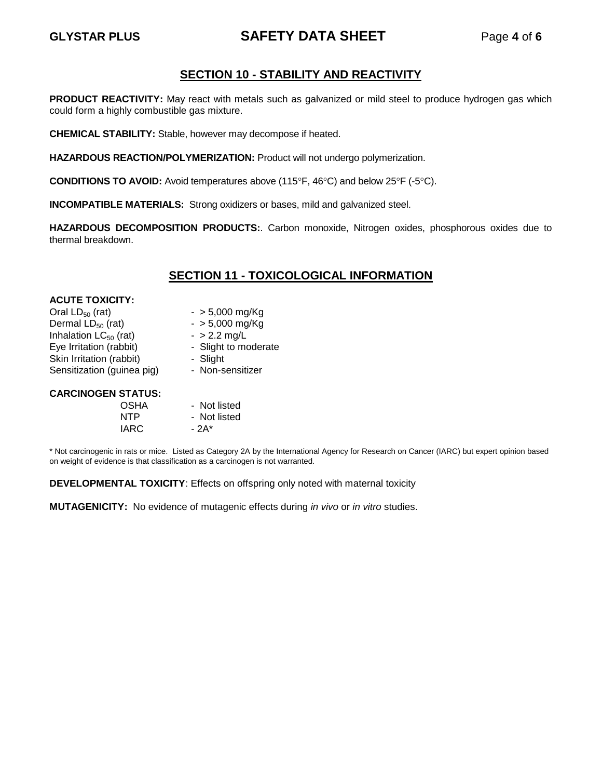# **GLYSTAR PLUS SAFETY DATA SHEET** Page **4** of **6**

# **SECTION 10 - STABILITY AND REACTIVITY**

**PRODUCT REACTIVITY:** May react with metals such as galvanized or mild steel to produce hydrogen gas which could form a highly combustible gas mixture.

**CHEMICAL STABILITY:** Stable, however may decompose if heated.

**HAZARDOUS REACTION/POLYMERIZATION:** Product will not undergo polymerization.

**CONDITIONS TO AVOID:** Avoid temperatures above (115 $\degree$ F, 46 $\degree$ C) and below 25 $\degree$ F (-5 $\degree$ C).

**INCOMPATIBLE MATERIALS:** Strong oxidizers or bases, mild and galvanized steel.

**HAZARDOUS DECOMPOSITION PRODUCTS:**. Carbon monoxide, Nitrogen oxides, phosphorous oxides due to thermal breakdown.

# **SECTION 11 - TOXICOLOGICAL INFORMATION**

| <b>ACUTE TOXICITY:</b>     |                      |
|----------------------------|----------------------|
| Oral $LD_{50}$ (rat)       | $-$ > 5,000 mg/Kg    |
| Dermal $LD_{50}$ (rat)     | $-$ > 5,000 mg/Kg    |
| Inhalation $LC_{50}$ (rat) | $-$ > 2.2 mg/L       |
| Eye Irritation (rabbit)    | - Slight to moderate |
| Skin Irritation (rabbit)   | - Slight             |
| Sensitization (guinea pig) | - Non-sensitizer     |
| <b>CARCINOGEN STATUS:</b>  |                      |
| <b>OSHA</b>                | - Not listed         |
| NTP                        | - Not listed         |

 $IARC - 2A<sup>*</sup>$ 

\* Not carcinogenic in rats or mice. Listed as Category 2A by the International Agency for Research on Cancer (IARC) but expert opinion based on weight of evidence is that classification as a carcinogen is not warranted.

**DEVELOPMENTAL TOXICITY**: Effects on offspring only noted with maternal toxicity

**MUTAGENICITY:** No evidence of mutagenic effects during *in vivo* or *in vitro* studies.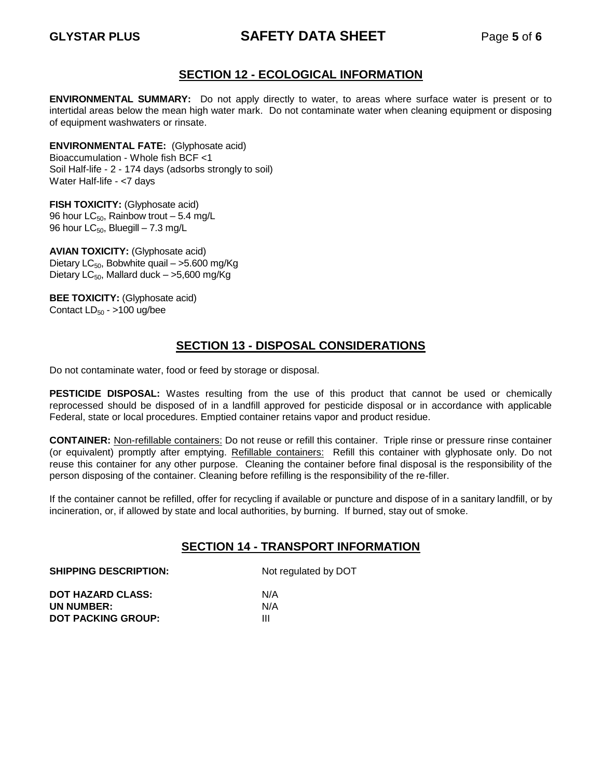# **GLYSTAR PLUS SAFETY DATA SHEET** Page **5** of **6**

# **SECTION 12 - ECOLOGICAL INFORMATION**

**ENVIRONMENTAL SUMMARY:** Do not apply directly to water, to areas where surface water is present or to intertidal areas below the mean high water mark. Do not contaminate water when cleaning equipment or disposing of equipment washwaters or rinsate.

**ENVIRONMENTAL FATE:** (Glyphosate acid) Bioaccumulation - Whole fish BCF <1 Soil Half-life - 2 - 174 days (adsorbs strongly to soil) Water Half-life - <7 days

**FISH TOXICITY:** (Glyphosate acid) 96 hour  $LC_{50}$ , Rainbow trout – 5.4 mg/L 96 hour  $LC_{50}$ , Bluegill – 7.3 mg/L

**AVIAN TOXICITY:** (Glyphosate acid) Dietary  $LC_{50}$ , Bobwhite quail – >5.600 mg/Kg Dietary LC $_{50}$ , Mallard duck – >5,600 mg/Kg

**BEE TOXICITY:** (Glyphosate acid) Contact  $LD_{50} - $100$  ug/bee

# **SECTION 13 - DISPOSAL CONSIDERATIONS**

Do not contaminate water, food or feed by storage or disposal.

**PESTICIDE DISPOSAL:** Wastes resulting from the use of this product that cannot be used or chemically reprocessed should be disposed of in a landfill approved for pesticide disposal or in accordance with applicable Federal, state or local procedures. Emptied container retains vapor and product residue.

**CONTAINER:** Non-refillable containers: Do not reuse or refill this container. Triple rinse or pressure rinse container (or equivalent) promptly after emptying. Refillable containers: Refill this container with glyphosate only. Do not reuse this container for any other purpose. Cleaning the container before final disposal is the responsibility of the person disposing of the container. Cleaning before refilling is the responsibility of the re-filler.

If the container cannot be refilled, offer for recycling if available or puncture and dispose of in a sanitary landfill, or by incineration, or, if allowed by state and local authorities, by burning. If burned, stay out of smoke.

### **SECTION 14 - TRANSPORT INFORMATION**

| Not regulated by DOT |  |  |
|----------------------|--|--|
| N/A                  |  |  |
| N/A                  |  |  |
| Ш                    |  |  |
|                      |  |  |